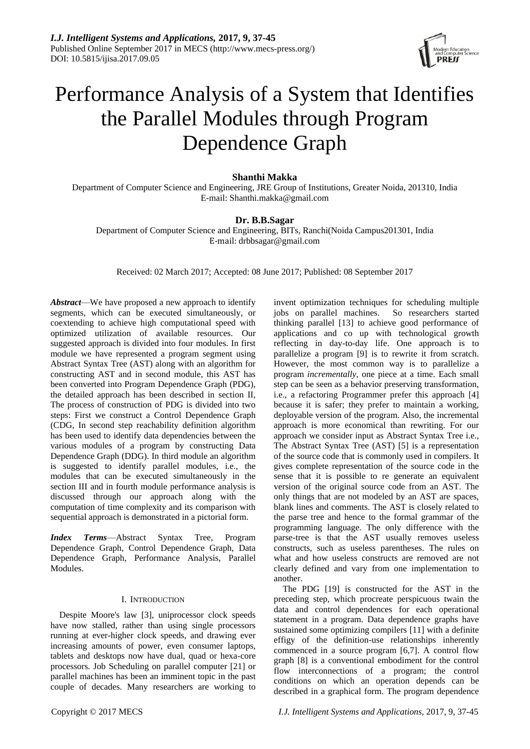

# Performance Analysis of a System that Identifies the Parallel Modules through Program Dependence Graph

# **Shanthi Makka**

Department of Computer Science and Engineering, JRE Group of Institutions, Greater Noida, 201310, India E-mail: Shanthi.makka@gmail.com

# **Dr. B.B.Sagar**

Department of Computer Science and Engineering, BITs, Ranchi(Noida Campus201301, India E-mail: [drbbsagar@gmail.com](mailto:drbbsagar@gmail.com)

Received: 02 March 2017; Accepted: 08 June 2017; Published: 08 September 2017

*Abstract*—We have proposed a new approach to identify segments, which can be executed simultaneously, or coextending to achieve high computational speed with optimized utilization of available resources. Our suggested approach is divided into four modules. In first module we have represented a program segment using Abstract Syntax Tree (AST) along with an algorithm for constructing AST and in second module, this AST has been converted into Program Dependence Graph (PDG), the detailed approach has been described in section II, The process of construction of PDG is divided into two steps: First we construct a Control Dependence Graph (CDG, In second step reachability definition algorithm has been used to identify data dependencies between the various modules of a program by constructing Data Dependence Graph (DDG). In third module an algorithm is suggested to identify parallel modules, i.e., the modules that can be executed simultaneously in the section III and in fourth module performance analysis is discussed through our approach along with the computation of time complexity and its comparison with sequential approach is demonstrated in a pictorial form.

*Index Terms*—Abstract Syntax Tree, Program Dependence Graph, Control Dependence Graph, Data Dependence Graph, Performance Analysis, Parallel Modules.

# I. INTRODUCTION

Despite Moore's law [3], uniprocessor clock speeds have now stalled, rather than using single processors running at ever-higher clock speeds, and drawing ever increasing amounts of power, even consumer laptops, tablets and desktops now have dual, quad or hexa-core processors. Job Scheduling on parallel computer [21] or parallel machines has been an imminent topic in the past couple of decades. Many researchers are working to

invent optimization techniques for scheduling multiple jobs on parallel machines. So researchers started thinking parallel [13] to achieve good performance of applications and co up with technological growth reflecting in day-to-day life. One approach is to parallelize a program [9] is to rewrite it from scratch. However, the most common way is to parallelize a program *incrementally*, one piece at a time. Each small step can be seen as a behavior preserving transformation, i.e., a refactoring Programmer prefer this approach [4] because it is safer; they prefer to maintain a working, deployable version of the program. Also, the incremental approach is more economical than rewriting. For our approach we consider input as Abstract Syntax Tree i.e., The Abstract Syntax Tree (AST) [5] is a representation of the source code that is commonly used in compilers. It gives complete representation of the source code in the sense that it is possible to re generate an equivalent version of the original source code from an AST. The only things that are not modeled by an AST are spaces, blank lines and comments. The AST is closely related to the parse tree and hence to the formal grammar of the programming language. The only difference with the parse-tree is that the AST usually removes useless constructs, such as useless parentheses. The rules on what and how useless constructs are removed are not clearly defined and vary from one implementation to another.

The PDG [19] is constructed for the AST in the preceding step, which procreate perspicuous twain the data and control dependences for each operational statement in a program. Data dependence graphs have sustained some optimizing compilers [11] with a definite effigy of the definition-use relationships inherently commenced in a source program [6,7]. A control flow graph [8] is a conventional embodiment for the control flow interconnections of a program; the control conditions on which an operation depends can be described in a graphical form. The program dependence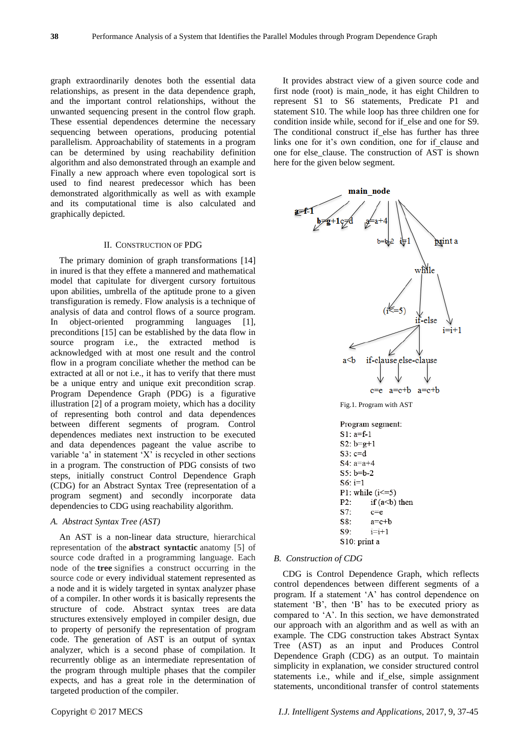graph extraordinarily denotes both the essential data relationships, as present in the data dependence graph, and the important control relationships, without the unwanted sequencing present in the control flow graph. These essential dependences determine the necessary sequencing between operations, producing potential parallelism. Approachability of statements in a program can be determined by using reachability definition algorithm and also demonstrated through an example and Finally a new approach where even topological sort is used to find nearest predecessor which has been demonstrated algorithmically as well as with example and its computational time is also calculated and graphically depicted.

# II. CONSTRUCTION OF PDG

The primary dominion of graph transformations [14] in inured is that they effete a mannered and mathematical model that capitulate for divergent cursory fortuitous upon abilities, umbrella of the aptitude prone to a given transfiguration is remedy. Flow analysis is a technique of analysis of data and control flows of a source program. object-oriented programming languages [1], preconditions [15] can be established by the data flow in source program i.e., the extracted method is acknowledged with at most one result and the control flow in a program conciliate whether the method can be extracted at all or not i.e., it has to verify that there must be a unique entry and unique exit precondition scrap. Program Dependence Graph (PDG) is a figurative illustration [2] of a program moiety, which has a docility of representing both control and data dependences between different segments of program. Control dependences mediates next instruction to be executed and data dependences pageant the value ascribe to variable  $a'$  in statement  $'X'$  is recycled in other sections in a program. The construction of PDG consists of two steps, initially construct Control Dependence Graph (CDG) for an Abstract Syntax Tree (representation of a program segment) and secondly incorporate data dependencies to CDG using reachability algorithm.

# *A. Abstract Syntax Tree (AST)*

An AST is a non-linear data structure, hierarchical representation of the **abstract syntactic** anatomy [5] of source code drafted in a programming language. Each node of the **tree** signifies a construct occurring in the source code or every individual statement represented as a node and it is widely targeted in syntax analyzer phase of a compiler. In other words it is basically represents the structure of code. Abstract syntax trees are [data](https://en.wikipedia.org/wiki/Data_structures)  [structures](https://en.wikipedia.org/wiki/Data_structures) extensively employed in [compiler design,](https://en.wikipedia.org/wiki/Compilers) due to property of personify the representation of program code. The generation of AST is an output of syntax analyzer, which is a second phase of compilation. It recurrently oblige as an intermediate representation of the program through multiple phases that the compiler expects, and has a great role in the determination of targeted production of the compiler.

It provides abstract view of a given source code and first node (root) is main\_node, it has eight Children to represent S1 to S6 statements, Predicate P1 and statement S10. The while loop has three children one for condition inside while, second for if\_else and one for S9. The conditional construct if else has further has three links one for it's own condition, one for if clause and one for else\_clause. The construction of AST is shown here for the given below segment.



# *B. Construction of CDG*

CDG is Control Dependence Graph, which reflects control dependences between different segments of a program. If a statement 'A' has control dependence on statement 'B', then 'B' has to be executed priory as compared to 'A'. In this section, we have demonstrated our approach with an algorithm and as well as with an example. The CDG construction takes Abstract Syntax Tree (AST) as an input and Produces Control Dependence Graph (CDG) as an output. To maintain simplicity in explanation, we consider structured control statements i.e., while and if else, simple assignment statements, unconditional transfer of control statements

Copyright © 2017 MECS *I.J. Intelligent Systems and Applications,* 2017, 9, 37-45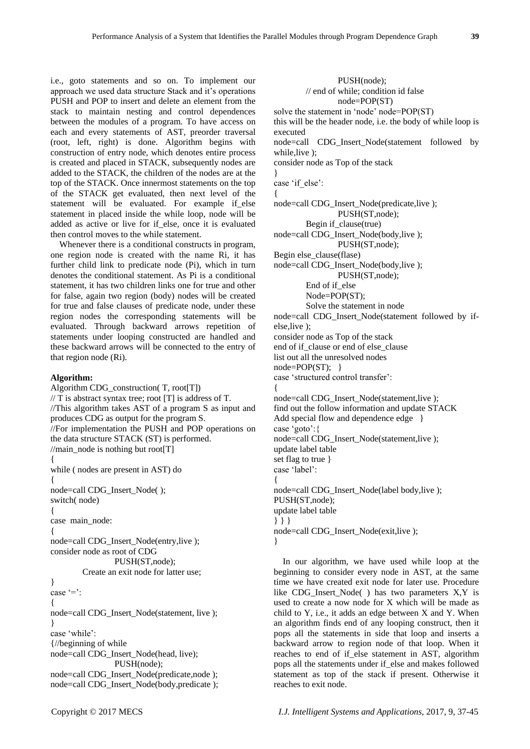i.e., goto statements and so on. To implement our approach we used data structure Stack and it's operations PUSH and POP to insert and delete an element from the stack to maintain nesting and control dependences between the modules of a program. To have access on each and every statements of AST, preorder traversal (root, left, right) is done. Algorithm begins with construction of entry node, which denotes entire process is created and placed in STACK, subsequently nodes are added to the STACK, the children of the nodes are at the top of the STACK. Once innermost statements on the top of the STACK get evaluated, then next level of the statement will be evaluated. For example if\_else statement in placed inside the while loop, node will be added as active or live for if\_else, once it is evaluated then control moves to the while statement.

Whenever there is a conditional constructs in program, one region node is created with the name Ri, it has further child link to predicate node (Pi), which in turn denotes the conditional statement. As Pi is a conditional statement, it has two children links one for true and other for false, again two region (body) nodes will be created for true and false clauses of predicate node, under these region nodes the corresponding statements will be evaluated. Through backward arrows repetition of statements under looping constructed are handled and these backward arrows will be connected to the entry of that region node (Ri).

# **Algorithm:**

Algorithm CDG\_construction( T, root[T])  $//$  T is abstract syntax tree; root [T] is address of T. //This algorithm takes AST of a program S as input and produces CDG as output for the program S. //For implementation the PUSH and POP operations on the data structure STACK (ST) is performed. //main\_node is nothing but root[T] { while ( nodes are present in AST) do { node=call CDG\_Insert\_Node( ); switch( node) { case main\_node: { node=call CDG\_Insert\_Node(entry,live ); consider node as root of CDG PUSH(ST,node); Create an exit node for latter use; } case '=':  $\left\{ \right.$ node=call CDG\_Insert\_Node(statement, live ); } case 'while': {//beginning of while node=call CDG\_Insert\_Node(head, live); PUSH(node); node=call CDG\_Insert\_Node(predicate,node); node=call CDG\_Insert\_Node(body,predicate );

PUSH(node); // end of while; condition id false node=POP(ST) solve the statement in 'node' node=POP(ST) this will be the header node, i.e. the body of while loop is executed node=call CDG\_Insert\_Node(statement followed by while,live ); consider node as Top of the stack } case 'if else':  $\left\{ \right.$ node=call CDG\_Insert\_Node(predicate,live ); PUSH(ST,node); Begin if\_clause(true) node=call CDG\_Insert\_Node(body,live ); PUSH(ST,node); Begin else\_clause(flase) node=call CDG\_Insert\_Node(body,live ); PUSH(ST,node); End of if\_else Node=POP(ST); Solve the statement in node node=call CDG\_Insert\_Node(statement followed by ifelse,live ); consider node as Top of the stack end of if clause or end of else clause list out all the unresolved nodes node=POP(ST); } case 'structured control transfer': { node=call CDG\_Insert\_Node(statement,live ); find out the follow information and update STACK Add special flow and dependence edge  $\{$ case 'goto': { node=call CDG\_Insert\_Node(statement,live ); update label table set flag to true } case 'label': { node=call CDG\_Insert\_Node(label body,live ); PUSH(ST,node); update label table } } } node=call CDG\_Insert\_Node(exit,live ); }

In our algorithm, we have used while loop at the beginning to consider every node in AST, at the same time we have created exit node for later use. Procedure like CDG\_Insert\_Node( ) has two parameters X,Y is used to create a now node for X which will be made as child to Y, i.e., it adds an edge between X and Y. When an algorithm finds end of any looping construct, then it pops all the statements in side that loop and inserts a backward arrow to region node of that loop. When it reaches to end of if else statement in AST, algorithm pops all the statements under if\_else and makes followed statement as top of the stack if present. Otherwise it reaches to exit node.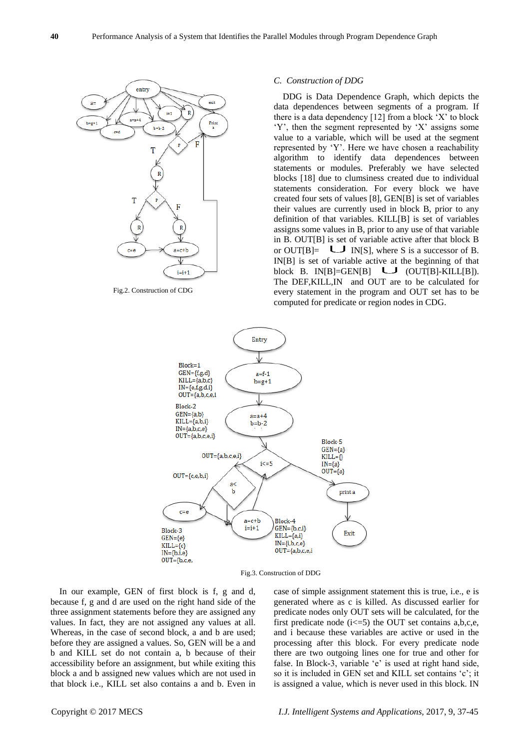

# *C. Construction of DDG*

DDG is Data Dependence Graph, which depicts the data dependences between segments of a program. If there is a data dependency  $[12]$  from a block  $X'$  to block  $Y'$ , then the segment represented by  $'X'$  assigns some value to a variable, which will be used at the segment represented by 'Y'. Here we have chosen a reachability algorithm to identify data dependences between statements or modules. Preferably we have selected blocks [18] due to clumsiness created due to individual statements consideration. For every block we have created four sets of values [8], GEN[B] is set of variables their values are currently used in block B, prior to any definition of that variables. KILL[B] is set of variables assigns some values in B, prior to any use of that variable in B. OUT[B] is set of variable active after that block B or OUT[B]=  $\Box$  IN[S], where S is a successor of B. IN[B] is set of variable active at the beginning of that block B. IN[B]=GEN[B]  $\bigcup$  (OUT[B]-KILL[B]). The DEF,KILL,IN and OUT are to be calculated for every statement in the program and OUT set has to be computed for predicate or region nodes in CDG.



Fig.3. Construction of DDG

In our example, GEN of first block is f, g and d, because f, g and d are used on the right hand side of the three assignment statements before they are assigned any values. In fact, they are not assigned any values at all. Whereas, in the case of second block, a and b are used; before they are assigned a values. So, GEN will be a and b and KILL set do not contain a, b because of their accessibility before an assignment, but while exiting this block a and b assigned new values which are not used in that block i.e., KILL set also contains a and b. Even in case of simple assignment statement this is true, i.e., e is generated where as c is killed. As discussed earlier for predicate nodes only OUT sets will be calculated, for the first predicate node  $(i \leq 5)$  the OUT set contains a,b,c,e, and i because these variables are active or used in the processing after this block. For every predicate node there are two outgoing lines one for true and other for false. In Block-3, variable 'e' is used at right hand side, so it is included in GEN set and KILL set contains 'c'; it is assigned a value, which is never used in this block. IN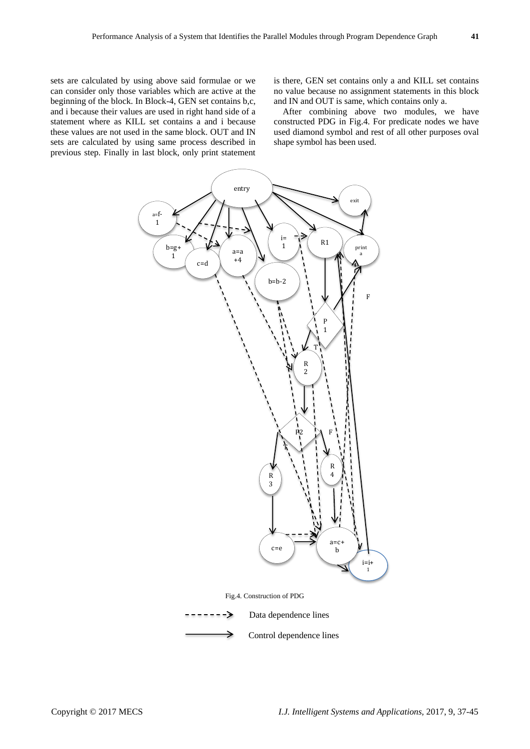sets are calculated by using above said formulae or we can consider only those variables which are active at the beginning of the block. In Block-4, GEN set contains b,c, and i because their values are used in right hand side of a statement where as KILL set contains a and i because these values are not used in the same block. OUT and IN sets are calculated by using same process described in previous step. Finally in last block, only print statement

is there, GEN set contains only a and KILL set contains no value because no assignment statements in this block and IN and OUT is same, which contains only a.

After combining above two modules, we have constructed PDG in Fig.4. For predicate nodes we have used diamond symbol and rest of all other purposes oval shape symbol has been used.

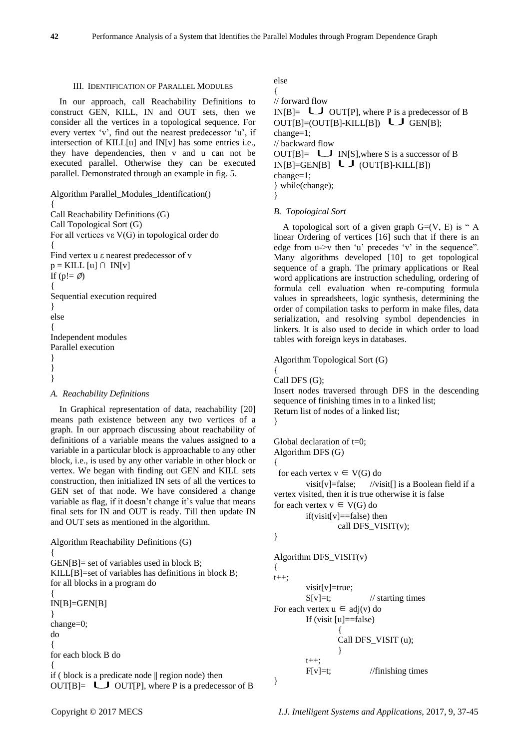# III. IDENTIFICATION OF PARALLEL MODULES

In our approach, call Reachability Definitions to construct GEN, KILL, IN and OUT sets, then we consider all the vertices in a topological sequence. For every vertex 'v', find out the nearest predecessor 'u', if intersection of KILL[u] and IN[v] has some entries i.e., they have dependencies, then v and u can not be executed parallel. Otherwise they can be executed parallel. Demonstrated through an example in fig. 5.

```
Algorithm Parallel_Modules_Identification()
{
Call Reachability Definitions (G)
Call Topological Sort (G)
For all vertices vε V(G) in topological order do 
{
Find vertex u ε nearest predecessor of v
p = KILL [u] \cap IN[v]If (p! = \emptyset){
Sequential execution required
}
else
{
Independent modules
Parallel execution
}
}
}
```
# *A. Reachability Definitions*

In Graphical representation of data, reachability [20] means path existence between any two vertices of a graph. In our approach discussing about reachability of definitions of a variable means the values assigned to a variable in a particular block is approachable to any other block, i.e., is used by any other variable in other block or vertex. We began with finding out GEN and KILL sets construction, then initialized IN sets of all the vertices to GEN set of that node. We have considered a change variable as flag, if it doesn't change it's value that means final sets for IN and OUT is ready. Till then update IN and OUT sets as mentioned in the algorithm.

```
Algorithm Reachability Definitions (G)
{
GEN[B] = set of variables used in block B;KILL[B]=set of variables has definitions in block B;
for all blocks in a program do
{
```
IN[B]=GEN[B] } change=0; do { for each block B do { if ( block is a predicate node || region node) then OUT[B]=  $\bigcup$  OUT[P], where P is a predecessor of B else

```
{
// forward flow
IN[B] = \bigcup OUT[P], where P is a predecessor of B
OUT[B] = (OUT[B] - KILL[B]) \cup GEN[B];
change=1;
// backward flow
OUT[B]= \Box IN[S], where S is a successor of B
IN[B]=GEN[B] (OUT[B]-KILL[B])
change=1;
} while(change); 
}
```
*B. Topological Sort*

A topological sort of a given graph  $G=(V, E)$  is "A linear Ordering of vertices [16] such that if there is an edge from  $u\rightarrow v$  then 'u' precedes 'v' in the sequence". Many algorithms developed [10] to get topological sequence of a graph. The primary applications or Real word applications are instruction scheduling, ordering of formula cell evaluation when re-computing formula values in spreadsheets, logic synthesis, determining the order of compilation tasks to perform in make files, data serialization, and resolving symbol dependencies in linkers. It is also used to decide in which order to load tables with foreign keys in databases.

Algorithm Topological Sort (G)

Call DFS (G);

{

Insert nodes traversed through DFS in the descending sequence of finishing times in to a linked list; Return list of nodes of a linked list; }

Global declaration of t=0; Algorithm DFS (G) { for each vertex  $v \in V(G)$  do visit[v]=false; //visit[] is a Boolean field if a vertex visited, then it is true otherwise it is false for each vertex  $v \in V(G)$  do  $if(visit[v]=false)$  then call DFS  $VISIT(v)$ ;

# }

```
Algorithm DFS VISIT(v){ 
t++visit[v]=true;
        S[v]=t; // starting times
For each vertex u \in \text{adi}(v) do
        If (visit [u]==false)
                 {
                 Call DFS_VISIT (u);
                 }
        t_{++};
        F[v]=t; //finishing times
}
```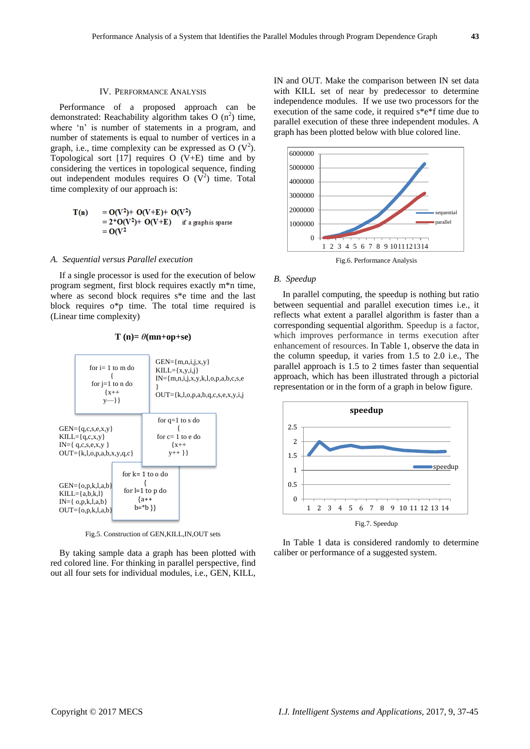# IV. PERFORMANCE ANALYSIS

Performance of a proposed approach can be demonstrated: Reachability algorithm takes O  $(n^2)$  time, where 'n' is number of statements in a program, and number of statements is equal to number of vertices in a graph, i.e., time complexity can be expressed as O  $(V^2)$ . Topological sort [17] requires O (V+E) time and by considering the vertices in topological sequence, finding out independent modules requires  $O (V^2)$  time. Total time complexity of our approach is:

> $= O(V^2) + O(V+E) + O(V^2)$  $T(n)$  $= 2*O(V^2) + O(V+E)$ if a graph is sparse  $= O(V^2)$

#### *A. Sequential versus Parallel execution*

If a single processor is used for the execution of below program segment, first block requires exactly m\*n time, where as second block requires s\*e time and the last block requires o\*p time. The total time required is (Linear time complexity)

 $T(n) = \theta(mn+op+se)$ 



Fig.5. Construction of GEN,KILL,IN,OUT sets

By taking sample data a graph has been plotted with red colored line. For thinking in parallel perspective, find out all four sets for individual modules, i.e., GEN, KILL,

IN and OUT. Make the comparison between IN set data with KILL set of near by predecessor to determine independence modules. If we use two processors for the execution of the same code, it required s\*e\*f time due to parallel execution of these three independent modules. A graph has been plotted below with blue colored line.



# *B. Speedup*

In parallel computing, the speedup is nothing but ratio between sequential and parallel execution times i.e., it reflects what extent a parallel algorithm is faster than a corresponding sequential algorithm. Speedup is a factor, which improves performance in terms execution after enhancement of resources. In Table 1, observe the data in the column speedup, it varies from 1.5 to 2.0 i.e., The parallel approach is 1.5 to 2 times faster than sequential approach, which has been illustrated through a pictorial representation or in the form of a graph in below figure.



In Table 1 data is considered randomly to determine caliber or performance of a suggested system.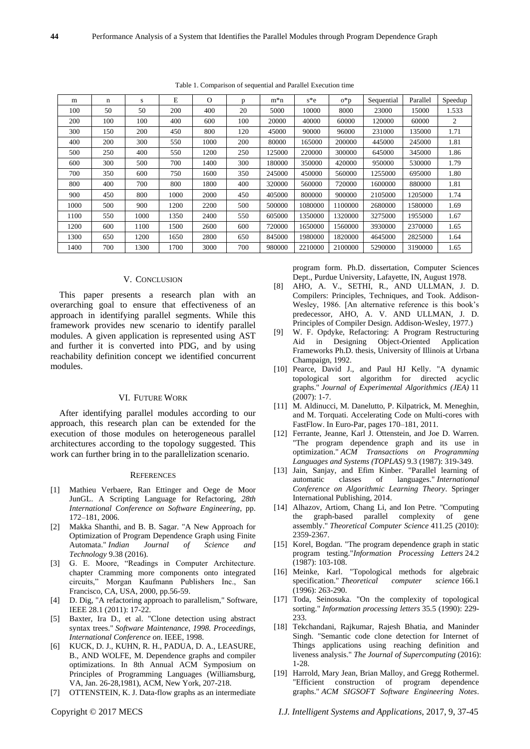| m    | n   | S    | E    | $\Omega$ | p   | $m*n$  | $s*e$   | $O^*p$  | Sequential | Parallel | Speedup |
|------|-----|------|------|----------|-----|--------|---------|---------|------------|----------|---------|
| 100  | 50  | 50   | 200  | 400      | 20  | 5000   | 10000   | 8000    | 23000      | 15000    | 1.533   |
| 200  | 100 | 100  | 400  | 600      | 100 | 20000  | 40000   | 60000   | 120000     | 60000    | 2       |
| 300  | 150 | 200  | 450  | 800      | 120 | 45000  | 90000   | 96000   | 231000     | 135000   | 1.71    |
| 400  | 200 | 300  | 550  | 1000     | 200 | 80000  | 165000  | 200000  | 445000     | 245000   | 1.81    |
| 500  | 250 | 400  | 550  | 1200     | 250 | 125000 | 220000  | 300000  | 645000     | 345000   | 1.86    |
| 600  | 300 | 500  | 700  | 1400     | 300 | 180000 | 350000  | 420000  | 950000     | 530000   | 1.79    |
| 700  | 350 | 600  | 750  | 1600     | 350 | 245000 | 450000  | 560000  | 1255000    | 695000   | 1.80    |
| 800  | 400 | 700  | 800  | 1800     | 400 | 320000 | 560000  | 720000  | 1600000    | 880000   | 1.81    |
| 900  | 450 | 800  | 1000 | 2000     | 450 | 405000 | 800000  | 900000  | 2105000    | 1205000  | 1.74    |
| 1000 | 500 | 900  | 1200 | 2200     | 500 | 500000 | 1080000 | 1100000 | 2680000    | 1580000  | 1.69    |
| 1100 | 550 | 1000 | 1350 | 2400     | 550 | 605000 | 1350000 | 1320000 | 3275000    | 1955000  | 1.67    |
| 1200 | 600 | 1100 | 1500 | 2600     | 600 | 720000 | 1650000 | 1560000 | 3930000    | 2370000  | 1.65    |
| 1300 | 650 | 1200 | 1650 | 2800     | 650 | 845000 | 1980000 | 1820000 | 4645000    | 2825000  | 1.64    |
| 1400 | 700 | 1300 | 1700 | 3000     | 700 | 980000 | 2210000 | 2100000 | 5290000    | 3190000  | 1.65    |

Table 1. Comparison of sequential and Parallel Execution time

# V. CONCLUSION

This paper presents a research plan with an overarching goal to ensure that effectiveness of an approach in identifying parallel segments. While this framework provides new scenario to identify parallel modules. A given application is represented using AST and further it is converted into PDG, and by using reachability definition concept we identified concurrent modules.

#### VI. FUTURE WORK

After identifying parallel modules according to our approach, this research plan can be extended for the execution of those modules on heterogeneous parallel architectures according to the topology suggested. This work can further bring in to the parallelization scenario.

#### **REFERENCES**

- [1] Mathieu Verbaere, Ran Ettinger and Oege de Moor JunGL. A Scripting Language for Refactoring, *28th International Conference on Software Engineering*, pp. 172–181, 2006.
- [2] Makka Shanthi, and B. B. Sagar. "A New Approach for Optimization of Program Dependence Graph using Finite Automata." *Indian Journal of Science and Technology* 9.38 (2016).
- [3] G. E. Moore, "Readings in Computer Architecture. chapter Cramming more components onto integrated circuits," Morgan Kaufmann Publishers Inc., San Francisco, CA, USA, 2000, pp.56-59.
- [4] D. Dig, "A refactoring approach to parallelism," Software, IEEE 28.1 (2011): 17-22.
- [5] Baxter, Ira D., et al. "Clone detection using abstract syntax trees." *Software Maintenance, 1998. Proceedings, International Conference on*. IEEE, 1998.
- [6] KUCK, D. J., KUHN, R. H., PADUA, D. A., LEASURE, B., AND WOLFE, M. Dependence graphs and compiler optimizations. In 8th Annual ACM Symposium on Principles of Programming Languages (Williamsburg, VA, Jan. 26-28,1981), ACM, New York, 207-218.
- [7] OTTENSTEIN, K. J. Data-flow graphs as an intermediate

program form. Ph.D. dissertation, Computer Sciences Dept., Purdue University, Lafayette, IN, August 1978.

- [8] AHO, A. V., SETHI, R., AND ULLMAN, J. D. Compilers: Principles, Techniques, and Took. Addison-Wesley, 1986. [An alternative reference is this book's predecessor, AHO, A. V. AND ULLMAN, J. D. Principles of Compiler Design. Addison-Wesley, 1977.)
- [9] W. F. Opdyke, Refactoring: A Program Restructuring Aid in Designing Object-Oriented Application Frameworks Ph.D. thesis, University of Illinois at Urbana Champaign, 1992.
- [10] Pearce, David J., and Paul HJ Kelly. "A dynamic topological sort algorithm for directed acyclic graphs." *Journal of Experimental Algorithmics (JEA)* 11  $(2007)$  $\cdot$  1-7.
- [11] M. Aldinucci, M. Danelutto, P. Kilpatrick, M. Meneghin, and M. Torquati. Accelerating Code on Multi-cores with FastFlow. In Euro-Par, pages 170–181, 2011.
- [12] Ferrante, Jeanne, Karl J. Ottenstein, and Joe D. Warren. "The program dependence graph and its use in optimization." *ACM Transactions on Programming Languages and Systems (TOPLAS)* 9.3 (1987): 319-349.
- [13] Jain, Sanjay, and Efim Kinber. "Parallel learning of automatic classes of languages." *International Conference on Algorithmic Learning Theory*. Springer International Publishing, 2014.
- [14] Alhazov, Artiom, Chang Li, and Ion Petre. "Computing the graph-based parallel complexity of gene assembly." *Theoretical Computer Science* 411.25 (2010): 2359-2367.
- [15] Korel, Bogdan. "The program dependence graph in static program testing."*Information Processing Letters* 24.2 (1987): 103-108.
- [16] Meinke, Karl. "Topological methods for algebraic specification." *Theoretical computer science* 166.1 (1996): 263-290.
- [17] Toda, Seinosuka. "On the complexity of topological sorting." *Information processing letters* 35.5 (1990): 229- 233.
- [18] Tekchandani, Rajkumar, Rajesh Bhatia, and Maninder Singh. "Semantic code clone detection for Internet of Things applications using reaching definition and liveness analysis." *The Journal of Supercomputing* (2016): 1-28.
- [19] Harrold, Mary Jean, Brian Malloy, and Gregg Rothermel. "Efficient construction of program dependence graphs." *ACM SIGSOFT Software Engineering Notes*.
- Copyright © 2017 MECS *I.J. Intelligent Systems and Applications,* 2017, 9, 37-45